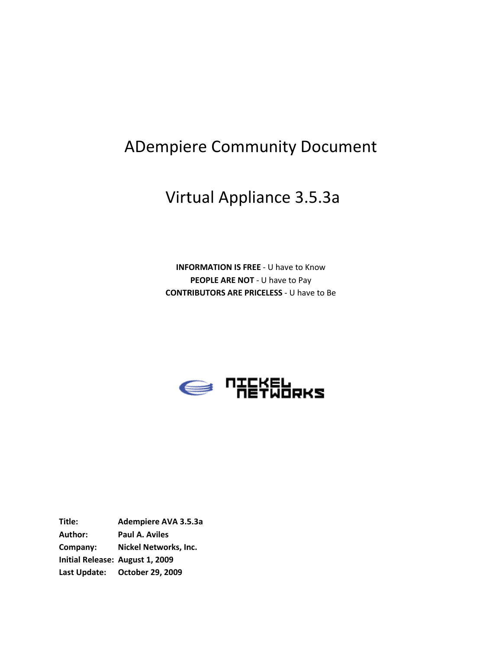# ADempiere Community Document

# Virtual Appliance Appliance 3.5.3a

**INFORMATION IS FREE - U have to Know** CONTRIBUTORS ARE PRICELESS - U have to Be PEOPLE ARE NOT - U have to Pay



Title: Adempiere AVA 3.5.3a 3.5.3aAuthor: Paul A. Aviles Company: Nickel Networks, Inc. Initial Release: August 1, 2009 Last Update: October 29, 2009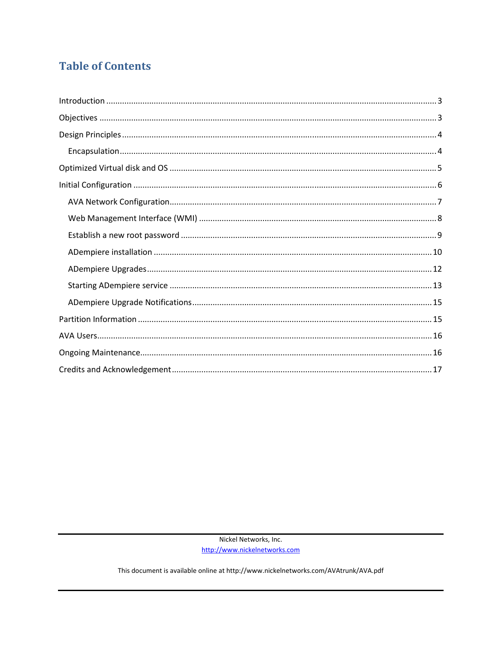## **Table of Contents**

Nickel Networks, Inc. http://www.nickelnetworks.com

This document is available online at http://www.nickelnetworks.com/AVAtrunk/AVA.pdf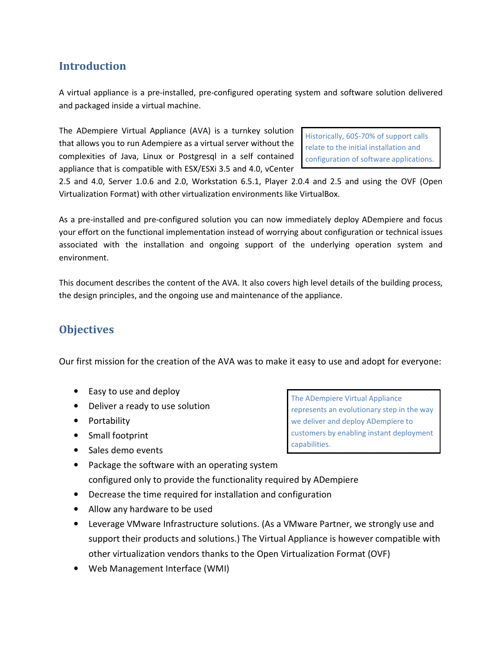## Introduction

A virtual appliance is a pre-installed, pre-configured operating system and software solution delivered and packaged inside a virtual machine.

The ADempiere Virtual Appliance (AVA) is a turnkey solution that allows you to run Adempiere as a virtual server without the complexities of Java, Linux or Postgresql in a self contained appliance that is compatible with ESX/ESXi 3.5 and 4.0, vCenter

Historically, 60\$-70% of support calls relate to the initial installation and configuration of software applications.

2.5 and 4.0, Server 1.0.6 and 2.0, Workstation 6.5.1, Player 2.0.4 and 2.5 and using the OVF (Open Virtualization Format) with other virtualization environments like VirtualBox.

As a pre-installed and pre-configured solution you can now immediately deploy ADempiere and focus your effort on the functional implementation instead of worrying about configuration or technical issues associated with the installation and ongoing support of the underlying operation system and environment.

This document describes the content of the AVA. It also covers high level details of the building process, the design principles, and the ongoing use and maintenance of the appliance.

## **Objectives**

Our first mission for the creation of the AVA was to make it easy to use and adopt for everyone:

- Easy to use and deploy
- Deliver a ready to use solution
- Portability
- Small footprint
- Sales demo events

The ADempiere Virtual Appliance represents an evolutionary step in the way we deliver and deploy ADempiere to customers by enabling instant deployment capabilities.

- Package the software with an operating system configured only to provide the functionality required by ADempiere
- Decrease the time required for installation and configuration
- Allow any hardware to be used
- Leverage VMware Infrastructure solutions. (As a VMware Partner, we strongly use and support their products and solutions.) The Virtual Appliance is however compatible with other virtualization vendors thanks to the Open Virtualization Format (OVF)
- Web Management Interface (WMI)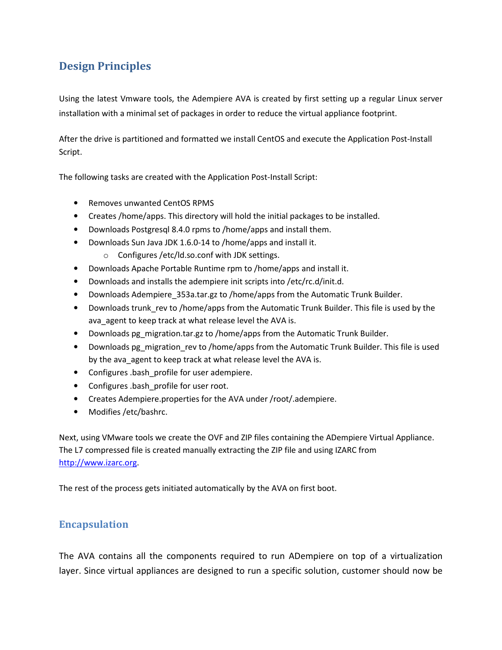## Design Principles

Using the latest Vmware tools, the Adempiere AVA is created by first setting up a regular Linux server installation with a minimal set of packages in order to reduce the virtual appliance footprint.

After the drive is partitioned and formatted we install CentOS and execute the Application Post-Install Script.

The following tasks are created with the Application Post-Install Script:

- Removes unwanted CentOS RPMS
- Creates /home/apps. This directory will hold the initial packages to be installed.
- Downloads Postgresql 8.4.0 rpms to /home/apps and install them.
- Downloads Sun Java JDK 1.6.0-14 to /home/apps and install it.
	- o Configures /etc/ld.so.conf with JDK settings.
- Downloads Apache Portable Runtime rpm to /home/apps and install it.
- Downloads and installs the adempiere init scripts into /etc/rc.d/init.d.
- Downloads Adempiere 353a.tar.gz to /home/apps from the Automatic Trunk Builder.
- Downloads trunk rev to /home/apps from the Automatic Trunk Builder. This file is used by the ava\_agent to keep track at what release level the AVA is.
- Downloads pg\_migration.tar.gz to /home/apps from the Automatic Trunk Builder.
- Downloads pg\_migration\_rev to /home/apps from the Automatic Trunk Builder. This file is used by the ava\_agent to keep track at what release level the AVA is.
- Configures .bash\_profile for user adempiere.
- Configures .bash profile for user root.
- Creates Adempiere.properties for the AVA under /root/.adempiere.
- Modifies /etc/bashrc.

Next, using VMware tools we create the OVF and ZIP files containing the ADempiere Virtual Appliance. The L7 compressed file is created manually extracting the ZIP file and using IZARC from http://www.izarc.org.

The rest of the process gets initiated automatically by the AVA on first boot.

#### Encapsulation

The AVA contains all the components required to run ADempiere on top of a virtualization layer. Since virtual appliances are designed to run a specific solution, customer should now be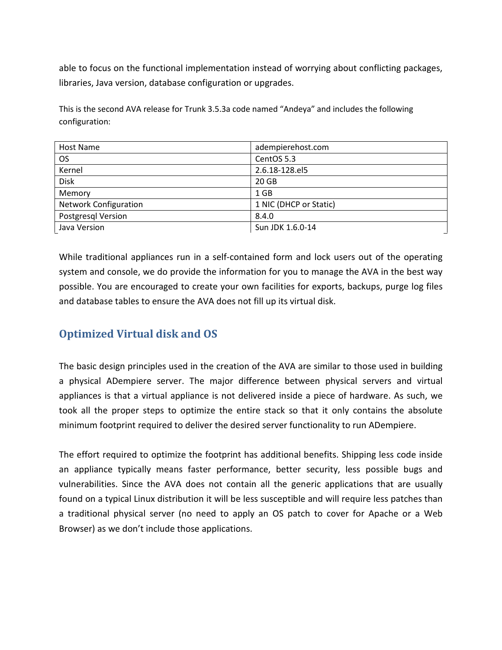able to focus on the functional implementation instead of worrying about conflicting packages, libraries, Java version, database configuration or upgrades.

This is the second AVA release for Trunk 3.5.3a code named "Andeya" and includes the following configuration:

| Host Name                    | adempierehost.com      |
|------------------------------|------------------------|
| OS.                          | CentOS 5.3             |
| Kernel                       | 2.6.18-128.el5         |
| <b>Disk</b>                  | 20 GB                  |
| Memory                       | $1$ GB                 |
| <b>Network Configuration</b> | 1 NIC (DHCP or Static) |
| <b>Postgresql Version</b>    | 8.4.0                  |
| Java Version                 | Sun JDK 1.6.0-14       |

While traditional appliances run in a self-contained form and lock users out of the operating system and console, we do provide the information for you to manage the AVA in the best way possible. You are encouraged to create your own facilities for exports, backups, purge log files and database tables to ensure the AVA does not fill up its virtual disk.

#### Optimized Virtual disk and OS

The basic design principles used in the creation of the AVA are similar to those used in building a physical ADempiere server. The major difference between physical servers and virtual appliances is that a virtual appliance is not delivered inside a piece of hardware. As such, we took all the proper steps to optimize the entire stack so that it only contains the absolute minimum footprint required to deliver the desired server functionality to run ADempiere.

The effort required to optimize the footprint has additional benefits. Shipping less code inside an appliance typically means faster performance, better security, less possible bugs and vulnerabilities. Since the AVA does not contain all the generic applications that are usually found on a typical Linux distribution it will be less susceptible and will require less patches than a traditional physical server (no need to apply an OS patch to cover for Apache or a Web Browser) as we don't include those applications.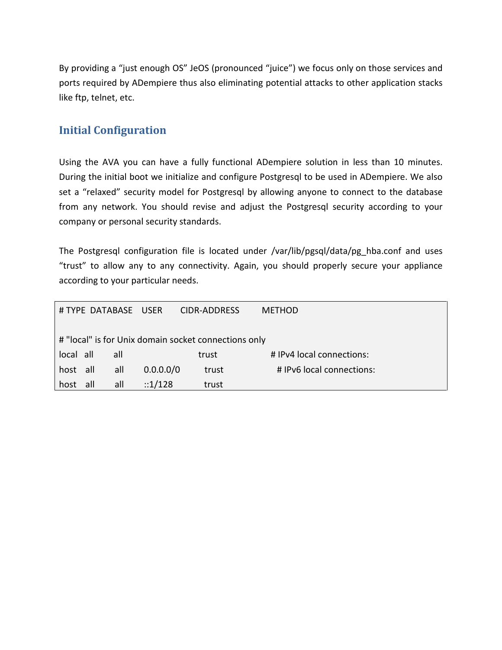By providing a "just enough OS" JeOS (pronounced "juice") we focus only on those services and ports required by ADempiere thus also eliminating potential attacks to other application stacks like ftp, telnet, etc.

#### Initial Configuration

Using the AVA you can have a fully functional ADempiere solution in less than 10 minutes. During the initial boot we initialize and configure Postgresql to be used in ADempiere. We also set a "relaxed" security model for Postgresql by allowing anyone to connect to the database from any network. You should revise and adjust the Postgresql security according to your company or personal security standards.

The Postgresql configuration file is located under /var/lib/pgsql/data/pg\_hba.conf and uses "trust" to allow any to any connectivity. Again, you should properly secure your appliance according to your particular needs.

|           | # TYPE DATABASE USER |     |                 | CIDR-ADDRESS                                         | <b>METHOD</b>             |
|-----------|----------------------|-----|-----------------|------------------------------------------------------|---------------------------|
|           |                      |     |                 | # "local" is for Unix domain socket connections only |                           |
| local all |                      | all |                 | trust                                                | # IPv4 local connections: |
| host all  |                      | all | 0.0.0.0/0       | trust                                                | # IPv6 local connections: |
| host      | all                  | all | $\frac{1}{128}$ | trust                                                |                           |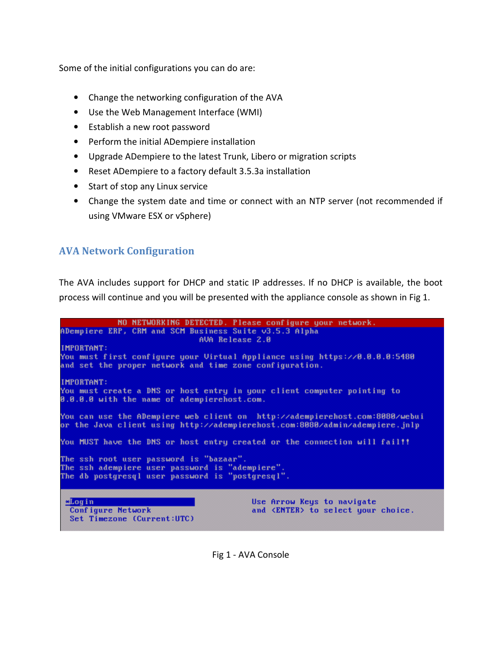Some of the initial configurations you can do are:

- Change the networking configuration of the AVA
- Use the Web Management Interface (WMI)
- Establish a new root password
- Perform the initial ADempiere installation
- Upgrade ADempiere to the latest Trunk, Libero or migration scripts
- Reset ADempiere to a factory default 3.5.3a installation
- Start of stop any Linux service
- Change the system date and time or connect with an NTP server (not recommended if using VMware ESX or vSphere)

#### AVA Network Configuration

The AVA includes support for DHCP and static IP addresses. If no DHCP is available, the boot process will continue and you will be presented with the appliance console as shown in Fig 1.

NO NETWORKING DETECTED. Please configure your network. ADempiere ERP, CRM and SCM Business Suite v3.5.3 Alpha AVA Release 2.0 **IMPORTANT:** You must first configure your Virtual Appliance using https://0.0.0.0:5480 and set the proper network and time zone configuration. IMPORTANT: You must create a DNS or host entry in your client computer pointing to 0.0.0.0 with the name of adempierehost.com. You can use the ADempiere web client on http://adempierehost.com:8080/webui or the Java client using http://adempierehost.com:8080/admin/adempiere.jnlp You MUST have the DNS or host entry created or the connection will fail!! The ssh root user password is "bazaar". The ssh adempiere user password is "adempiere".<br>The db postgresql user password is "postgresql". Use Arrow Keys to navigate aLogin Configure Network and <ENTER> to select your choice. Set Timezone (Current:UTC)

Fig 1 - AVA Console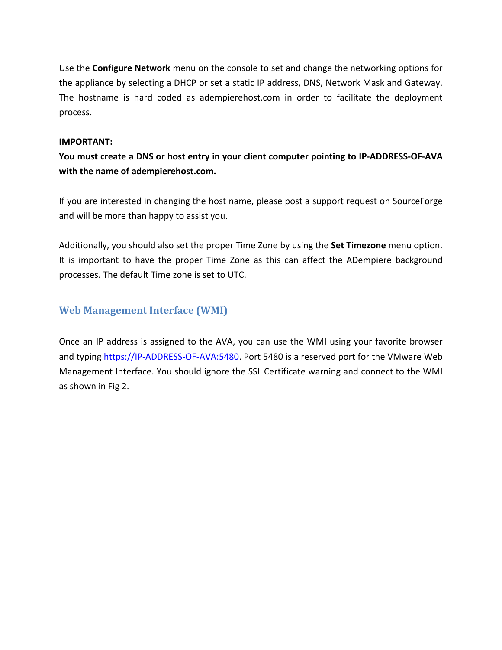Use the Configure Network menu on the console to set and change the networking options for the appliance by selecting a DHCP or set a static IP address, DNS, Network Mask and Gateway. The hostname is hard coded as adempierehost.com in order to facilitate the deployment process.

#### IMPORTANT:

You must create a DNS or host entry in your client computer pointing to IP-ADDRESS-OF-AVA with the name of adempierehost.com.

If you are interested in changing the host name, please post a support request on SourceForge and will be more than happy to assist you.

Additionally, you should also set the proper Time Zone by using the Set Timezone menu option. It is important to have the proper Time Zone as this can affect the ADempiere background processes. The default Time zone is set to UTC.

#### Web Management Interface (WMI)

Once an IP address is assigned to the AVA, you can use the WMI using your favorite browser and typing https://IP-ADDRESS-OF-AVA:5480. Port 5480 is a reserved port for the VMware Web Management Interface. You should ignore the SSL Certificate warning and connect to the WMI as shown in Fig 2.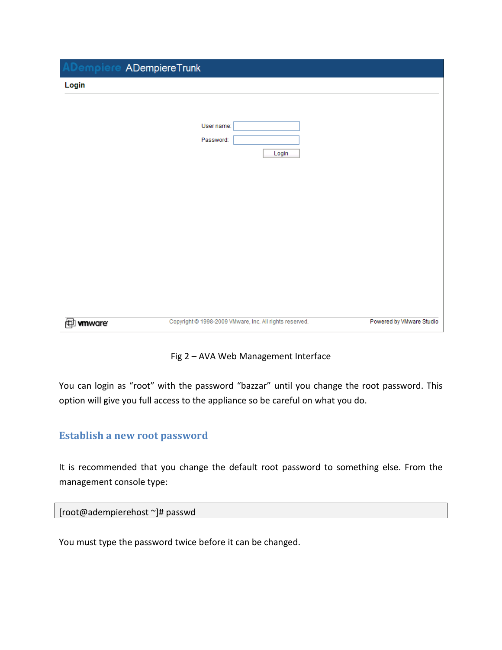| <b>ADempiere ADempiereTrunk</b> |                                                         |                          |
|---------------------------------|---------------------------------------------------------|--------------------------|
| Login                           |                                                         |                          |
|                                 | User name:<br>Password:<br>Login                        |                          |
| wuwate.<br>回                    | Copyright @ 1998-2009 VMware, Inc. All rights reserved. | Powered by VMware Studio |

Fig 2 – AVA Web Management Interface

You can login as "root" with the password "bazzar" until you change the root password. This option will give you full access to the appliance so be careful on what you do.

#### Establish a new root password

It is recommended that you change the default root password to something else. From the management console type:

[root@adempierehost ~]# passwd

You must type the password twice before it can be changed.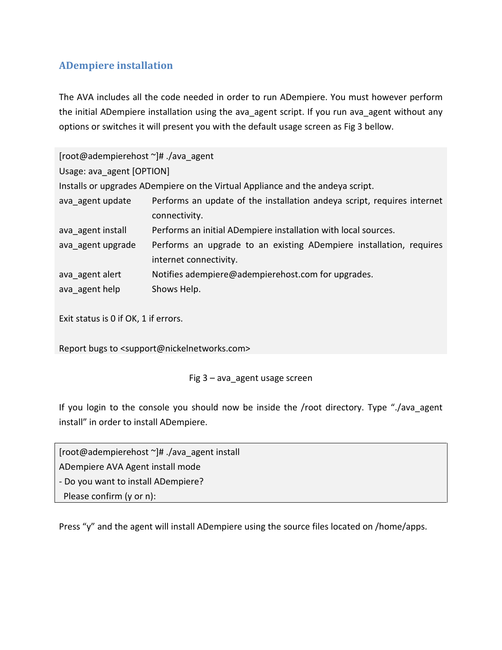#### ADempiere installation

The AVA includes all the code needed in order to run ADempiere. You must however perform the initial ADempiere installation using the ava\_agent script. If you run ava\_agent without any options or switches it will present you with the default usage screen as Fig 3 bellow.

| [root@adempierehost ~]# ./ava_agent                                            |                                                                         |  |
|--------------------------------------------------------------------------------|-------------------------------------------------------------------------|--|
| Usage: ava_agent [OPTION]                                                      |                                                                         |  |
| Installs or upgrades ADempiere on the Virtual Appliance and the andeya script. |                                                                         |  |
| ava agent update                                                               | Performs an update of the installation andeya script, requires internet |  |
|                                                                                | connectivity.                                                           |  |
| ava agent install                                                              | Performs an initial ADempiere installation with local sources.          |  |
| ava agent upgrade                                                              | Performs an upgrade to an existing ADempiere installation, requires     |  |
|                                                                                | internet connectivity.                                                  |  |
| ava agent alert                                                                | Notifies adempiere@adempierehost.com for upgrades.                      |  |
| ava agent help                                                                 | Shows Help.                                                             |  |
|                                                                                |                                                                         |  |

Exit status is 0 if OK, 1 if errors.

Report bugs to <support@nickelnetworks.com>

#### Fig 3 – ava\_agent usage screen

If you login to the console you should now be inside the /root directory. Type "./ava agent install" in order to install ADempiere.

| [root@adempierehost ~]# ./ava agent install |
|---------------------------------------------|
| ADempiere AVA Agent install mode            |
| - Do you want to install ADempiere?         |
| Please confirm (y or n):                    |

Press "y" and the agent will install ADempiere using the source files located on /home/apps.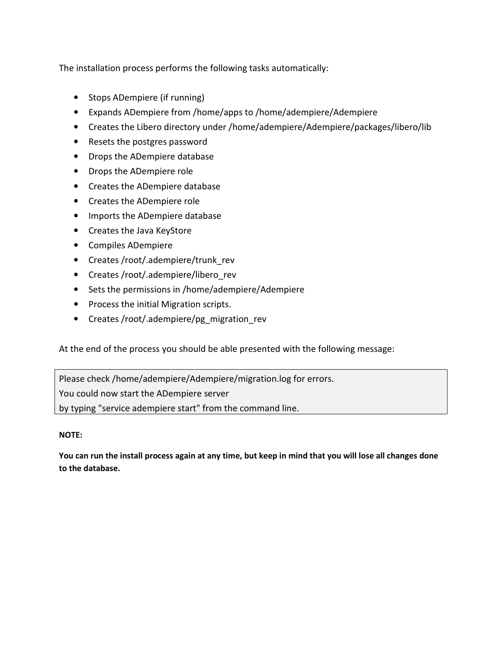The installation process performs the following tasks automatically:

- Stops ADempiere (if running)
- Expands ADempiere from /home/apps to /home/adempiere/Adempiere
- Creates the Libero directory under /home/adempiere/Adempiere/packages/libero/lib
- Resets the postgres password
- Drops the ADempiere database
- Drops the ADempiere role
- Creates the ADempiere database
- Creates the ADempiere role
- Imports the ADempiere database
- Creates the Java KeyStore
- Compiles ADempiere
- Creates /root/.adempiere/trunk\_rev
- Creates /root/.adempiere/libero\_rev
- Sets the permissions in /home/adempiere/Adempiere
- Process the initial Migration scripts.
- Creates /root/.adempiere/pg\_migration\_rev

At the end of the process you should be able presented with the following message:

Please check /home/adempiere/Adempiere/migration.log for errors. You could now start the ADempiere server by typing "service adempiere start" from the command line.

#### NOTE:

You can run the install process again at any time, but keep in mind that you will lose all changes done to the database.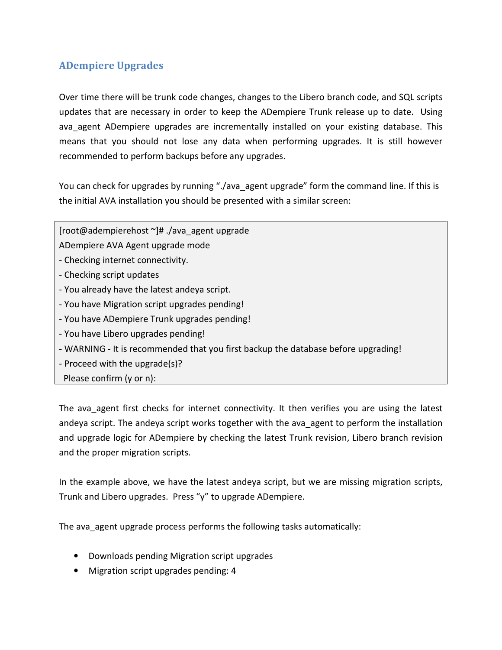#### ADempiere Upgrades

Over time there will be trunk code changes, changes to the Libero branch code, and SQL scripts updates that are necessary in order to keep the ADempiere Trunk release up to date. Using ava agent ADempiere upgrades are incrementally installed on your existing database. This means that you should not lose any data when performing upgrades. It is still however recommended to perform backups before any upgrades.

You can check for upgrades by running "./ava agent upgrade" form the command line. If this is the initial AVA installation you should be presented with a similar screen:

[root@adempierehost ~]# ./ava\_agent upgrade

ADempiere AVA Agent upgrade mode

- Checking internet connectivity.
- Checking script updates
- You already have the latest andeya script.
- You have Migration script upgrades pending!
- You have ADempiere Trunk upgrades pending!
- You have Libero upgrades pending!
- WARNING It is recommended that you first backup the database before upgrading!
- Proceed with the upgrade(s)?
- Please confirm (y or n):

The ava agent first checks for internet connectivity. It then verifies you are using the latest andeya script. The andeya script works together with the ava agent to perform the installation and upgrade logic for ADempiere by checking the latest Trunk revision, Libero branch revision and the proper migration scripts.

In the example above, we have the latest andeya script, but we are missing migration scripts, Trunk and Libero upgrades. Press "y" to upgrade ADempiere.

The ava agent upgrade process performs the following tasks automatically:

- Downloads pending Migration script upgrades
- Migration script upgrades pending: 4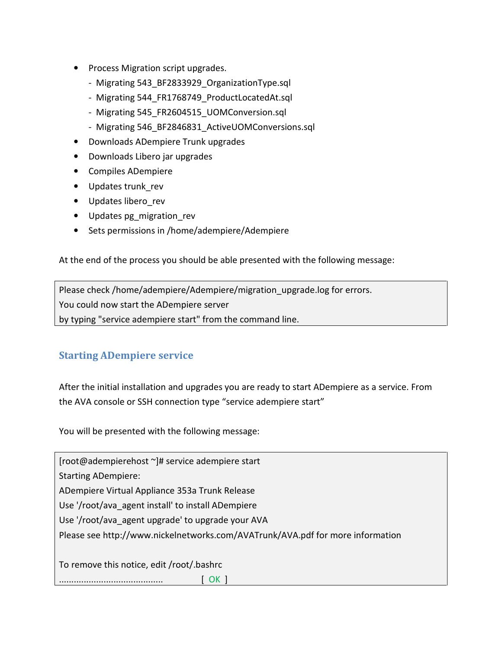- Process Migration script upgrades.
	- Migrating 543\_BF2833929\_OrganizationType.sql
	- Migrating 544\_FR1768749\_ProductLocatedAt.sql
	- Migrating 545\_FR2604515\_UOMConversion.sql
	- Migrating 546\_BF2846831\_ActiveUOMConversions.sql
- Downloads ADempiere Trunk upgrades
- Downloads Libero jar upgrades
- Compiles ADempiere
- Updates trunk rev
- Updates libero\_rev
- Updates pg\_migration\_rev
- Sets permissions in /home/adempiere/Adempiere

At the end of the process you should be able presented with the following message:

Please check /home/adempiere/Adempiere/migration\_upgrade.log for errors. You could now start the ADempiere server by typing "service adempiere start" from the command line.

#### Starting ADempiere service

After the initial installation and upgrades you are ready to start ADempiere as a service. From the AVA console or SSH connection type "service adempiere start"

You will be presented with the following message:

[root@adempierehost ~]# service adempiere start

Starting ADempiere:

ADempiere Virtual Appliance 353a Trunk Release

Use '/root/ava\_agent install' to install ADempiere

Use '/root/ava\_agent upgrade' to upgrade your AVA

Please see http://www.nickelnetworks.com/AVATrunk/AVA.pdf for more information

To remove this notice, edit /root/.bashrc

.......................................... [ OK ]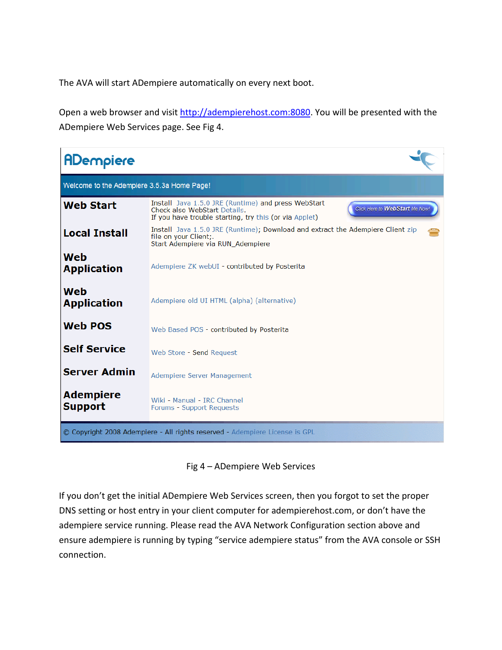The AVA will start ADempiere automatically on every next boot.

Open a web browser and visit http://adempierehost.com:8080. You will be presented with the ADempiere Web Services page. See Fig 4.

| ADempiere                                  |                                                                                                                                                                                 |
|--------------------------------------------|---------------------------------------------------------------------------------------------------------------------------------------------------------------------------------|
| Welcome to the Adempiere 3.5.3a Home Page! |                                                                                                                                                                                 |
| <b>Web Start</b>                           | Install Java 1.5.0 JRE (Runtime) and press WebStart<br>Click Here to WebStart Me Now!<br>Check also WebStart Details.<br>If you have trouble starting, try this (or via Applet) |
| <b>Local Install</b>                       | Install Java 1.5.0 JRE (Runtime); Download and extract the Adempiere Client zip<br>file on your Client;.<br>Start Adempiere via RUN_Adempiere                                   |
| Web<br><b>Application</b>                  | Adempiere ZK webUI - contributed by Posterita                                                                                                                                   |
| Web<br><b>Application</b>                  | Adempiere old UI HTML (alpha) (alternative)                                                                                                                                     |
| <b>Web POS</b>                             | Web Based POS - contributed by Posterita                                                                                                                                        |
| <b>Self Service</b>                        | Web Store - Send Request                                                                                                                                                        |
| <b>Server Admin</b>                        | Adempiere Server Management                                                                                                                                                     |
| <b>Adempiere</b><br><b>Support</b>         | Wiki - Manual - IRC Channel<br>Forums - Support Requests                                                                                                                        |
|                                            | © Copyright 2008 Adempiere - All rights reserved - Adempiere License is GPL                                                                                                     |

#### Fig 4 – ADempiere Web Services

If you don't get the initial ADempiere Web Services screen, then you forgot to set the proper DNS setting or host entry in your client computer for adempierehost.com, or don't have the adempiere service running. Please read the AVA Network Configuration section above and ensure adempiere is running by typing "service adempiere status" from the AVA console or SSH connection.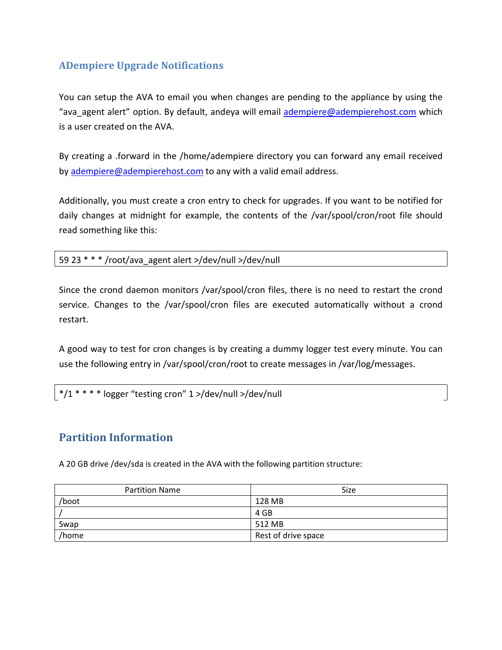#### ADempiere Upgrade Notifications

You can setup the AVA to email you when changes are pending to the appliance by using the "ava agent alert" option. By default, andeya will email adempiere@adempierehost.com which is a user created on the AVA.

By creating a .forward in the /home/adempiere directory you can forward any email received by adempiere@adempierehost.com to any with a valid email address.

Additionally, you must create a cron entry to check for upgrades. If you want to be notified for daily changes at midnight for example, the contents of the /var/spool/cron/root file should read something like this:

59 23 \* \* \* /root/ava\_agent alert >/dev/null >/dev/null

Since the crond daemon monitors /var/spool/cron files, there is no need to restart the crond service. Changes to the /var/spool/cron files are executed automatically without a crond restart.

A good way to test for cron changes is by creating a dummy logger test every minute. You can use the following entry in /var/spool/cron/root to create messages in /var/log/messages.

\*/1 \* \* \* \* logger "testing cron" 1 >/dev/null >/dev/null

#### Partition Information

A 20 GB drive /dev/sda is created in the AVA with the following partition structure:

| <b>Partition Name</b> | <b>Size</b>         |
|-----------------------|---------------------|
| /boot                 | 128 MB              |
|                       | 4 GB                |
| Swap                  | 512 MB              |
| /home                 | Rest of drive space |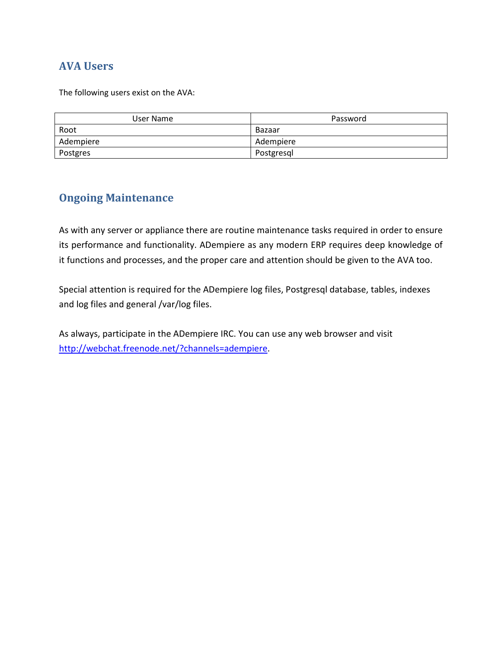## AVA Users

The following users exist on the AVA:

| User Name | Password   |
|-----------|------------|
| Root      | Bazaar     |
| Adempiere | Adempiere  |
| Postgres  | Postgresql |

#### Ongoing Maintenance

As with any server or appliance there are routine maintenance tasks required in order to ensure its performance and functionality. ADempiere as any modern ERP requires deep knowledge of it functions and processes, and the proper care and attention should be given to the AVA too.

Special attention is required for the ADempiere log files, Postgresql database, tables, indexes and log files and general /var/log files.

As always, participate in the ADempiere IRC. You can use any web browser and visit http://webchat.freenode.net/?channels=adempiere.